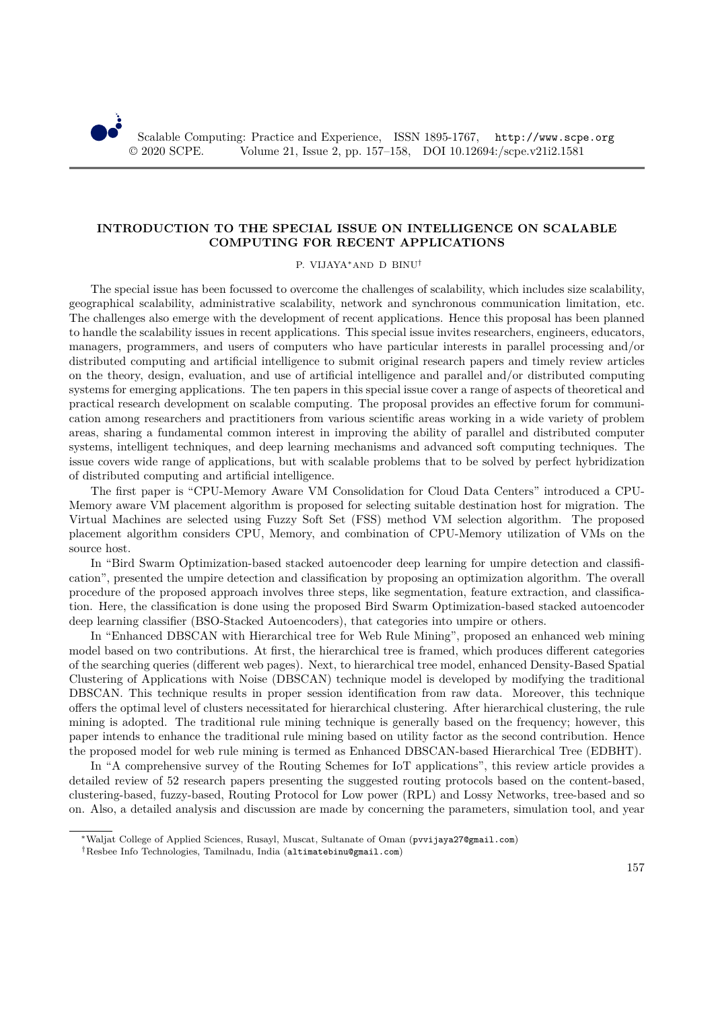## **INTRODUCTION TO THE SPECIAL ISSUE ON INTELLIGENCE ON SCALABLE COMPUTING FOR RECENT APPLICATIONS**

## P. VIJAYA∗AND D BINU†

The special issue has been focussed to overcome the challenges of scalability, which includes size scalability, geographical scalability, administrative scalability, network and synchronous communication limitation, etc. The challenges also emerge with the development of recent applications. Hence this proposal has been planned to handle the scalability issues in recent applications. This special issue invites researchers, engineers, educators, managers, programmers, and users of computers who have particular interests in parallel processing and/or distributed computing and artificial intelligence to submit original research papers and timely review articles on the theory, design, evaluation, and use of artificial intelligence and parallel and/or distributed computing systems for emerging applications. The ten papers in this special issue cover a range of aspects of theoretical and practical research development on scalable computing. The proposal provides an effective forum for communication among researchers and practitioners from various scientific areas working in a wide variety of problem areas, sharing a fundamental common interest in improving the ability of parallel and distributed computer systems, intelligent techniques, and deep learning mechanisms and advanced soft computing techniques. The issue covers wide range of applications, but with scalable problems that to be solved by perfect hybridization of distributed computing and artificial intelligence.

The first paper is "CPU-Memory Aware VM Consolidation for Cloud Data Centers" introduced a CPU-Memory aware VM placement algorithm is proposed for selecting suitable destination host for migration. The Virtual Machines are selected using Fuzzy Soft Set (FSS) method VM selection algorithm. The proposed placement algorithm considers CPU, Memory, and combination of CPU-Memory utilization of VMs on the source host.

In "Bird Swarm Optimization-based stacked autoencoder deep learning for umpire detection and classification", presented the umpire detection and classification by proposing an optimization algorithm. The overall procedure of the proposed approach involves three steps, like segmentation, feature extraction, and classification. Here, the classification is done using the proposed Bird Swarm Optimization-based stacked autoencoder deep learning classifier (BSO-Stacked Autoencoders), that categories into umpire or others.

In "Enhanced DBSCAN with Hierarchical tree for Web Rule Mining", proposed an enhanced web mining model based on two contributions. At first, the hierarchical tree is framed, which produces different categories of the searching queries (different web pages). Next, to hierarchical tree model, enhanced Density-Based Spatial Clustering of Applications with Noise (DBSCAN) technique model is developed by modifying the traditional DBSCAN. This technique results in proper session identification from raw data. Moreover, this technique offers the optimal level of clusters necessitated for hierarchical clustering. After hierarchical clustering, the rule mining is adopted. The traditional rule mining technique is generally based on the frequency; however, this paper intends to enhance the traditional rule mining based on utility factor as the second contribution. Hence the proposed model for web rule mining is termed as Enhanced DBSCAN-based Hierarchical Tree (EDBHT).

In "A comprehensive survey of the Routing Schemes for IoT applications", this review article provides a detailed review of 52 research papers presenting the suggested routing protocols based on the content-based, clustering-based, fuzzy-based, Routing Protocol for Low power (RPL) and Lossy Networks, tree-based and so on. Also, a detailed analysis and discussion are made by concerning the parameters, simulation tool, and year

<sup>∗</sup>Waljat College of Applied Sciences, Rusayl, Muscat, Sultanate of Oman (pvvijaya27@gmail.com)

<sup>†</sup>Resbee Info Technologies, Tamilnadu, India (altimatebinu@gmail.com)